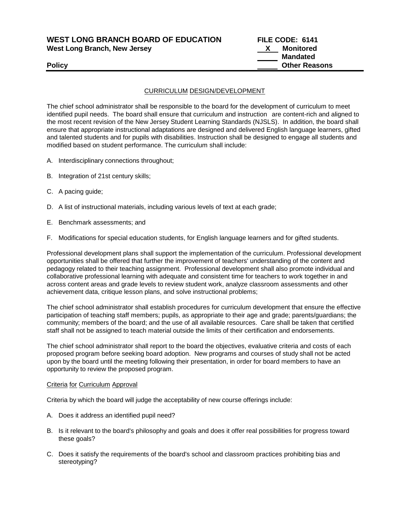**WEST LONG BRANCH BOARD OF EDUCATION FILE CODE: 6141 West Long Branch, New Jersey X Monitored**

 **Mandated Policy Other Reasons**

## CURRICULUM DESIGN/DEVELOPMENT

The chief school administrator shall be responsible to the board for the development of curriculum to meet identified pupil needs. The board shall ensure that curriculum and instruction are content-rich and aligned to the most recent revision of the New Jersey Student Learning Standards (NJSLS). In addition, the board shall ensure that appropriate instructional adaptations are designed and delivered English language learners, gifted and talented students and for pupils with disabilities. Instruction shall be designed to engage all students and modified based on student performance. The curriculum shall include:

- A. Interdisciplinary connections throughout;
- B. Integration of 21st century skills;
- C. A pacing guide;
- D. A list of instructional materials, including various levels of text at each grade;
- E. Benchmark assessments; and
- F. Modifications for special education students, for English language learners and for gifted students.

Professional development plans shall support the implementation of the curriculum. Professional development opportunities shall be offered that further the improvement of teachers' understanding of the content and pedagogy related to their teaching assignment. Professional development shall also promote individual and collaborative professional learning with adequate and consistent time for teachers to work together in and across content areas and grade levels to review student work, analyze classroom assessments and other achievement data, critique lesson plans, and solve instructional problems;

The chief school administrator shall establish procedures for curriculum development that ensure the effective participation of teaching staff members; pupils, as appropriate to their age and grade; parents/guardians; the community; members of the board; and the use of all available resources. Care shall be taken that certified staff shall not be assigned to teach material outside the limits of their certification and endorsements.

The chief school administrator shall report to the board the objectives, evaluative criteria and costs of each proposed program before seeking board adoption. New programs and courses of study shall not be acted upon by the board until the meeting following their presentation, in order for board members to have an opportunity to review the proposed program.

### Criteria for Curriculum Approval

Criteria by which the board will judge the acceptability of new course offerings include:

- A. Does it address an identified pupil need?
- B. Is it relevant to the board's philosophy and goals and does it offer real possibilities for progress toward these goals?
- C. Does it satisfy the requirements of the board's school and classroom practices prohibiting bias and stereotyping?